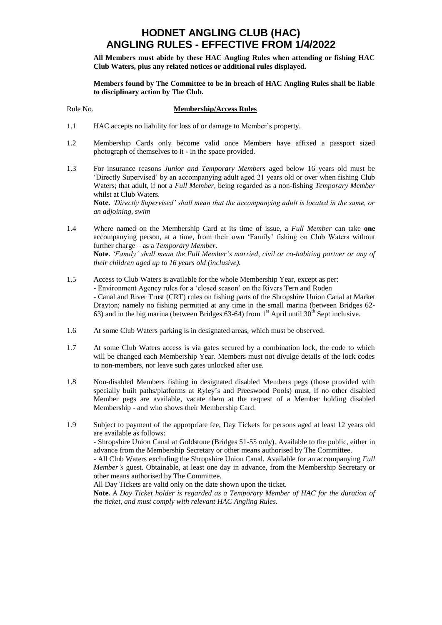**All Members must abide by these HAC Angling Rules when attending or fishing HAC Club Waters, plus any related notices or additional rules displayed.** 

**Members found by The Committee to be in breach of HAC Angling Rules shall be liable to disciplinary action by The Club.**

#### Rule No. **Membership/Access Rules**

- 1.1 HAC accepts no liability for loss of or damage to Member's property.
- 1.2 Membership Cards only become valid once Members have affixed a passport sized photograph of themselves to it - in the space provided.
- 1.3 For insurance reasons *Junior and Temporary Members* aged below 16 years old must be 'Directly Supervised' by an accompanying adult aged 21 years old or over when fishing Club Waters; that adult, if not a *Full Member*, being regarded as a non-fishing *Temporary Member* whilst at Club Waters.

**Note.** *'Directly Supervised' shall mean that the accompanying adult is located in the same, or an adjoining, swim*

1.4 Where named on the Membership Card at its time of issue, a *Full Member* can take **one** accompanying person, at a time, from their own 'Family' fishing on Club Waters without further charge – as a *Temporary Member*. **Note.** *'Family' shall mean the Full Member's married, civil or co-habiting partner or any of their children aged up to 16 years old (inclusive).*

- 1.5 Access to Club Waters is available for the whole Membership Year, except as per: - Environment Agency rules for a 'closed season' on the Rivers Tern and Roden - Canal and River Trust (CRT) rules on fishing parts of the Shropshire Union Canal at Market Drayton; namely no fishing permitted at any time in the small marina (between Bridges 62- 63) and in the big marina (between Bridges 63-64) from  $1<sup>st</sup>$  April until 30<sup>th</sup> Sept inclusive.
- 1.6 At some Club Waters parking is in designated areas, which must be observed.
- 1.7 At some Club Waters access is via gates secured by a combination lock, the code to which will be changed each Membership Year. Members must not divulge details of the lock codes to non-members, nor leave such gates unlocked after use.
- 1.8 Non-disabled Members fishing in designated disabled Members pegs (those provided with specially built paths/platforms at Ryley's and Preeswood Pools) must, if no other disabled Member pegs are available, vacate them at the request of a Member holding disabled Membership - and who shows their Membership Card.
- 1.9 Subject to payment of the appropriate fee, Day Tickets for persons aged at least 12 years old are available as follows:

- Shropshire Union Canal at Goldstone (Bridges 51-55 only). Available to the public, either in advance from the Membership Secretary or other means authorised by The Committee.

- All Club Waters excluding the Shropshire Union Canal. Available for an accompanying *Full Member's* guest. Obtainable, at least one day in advance, from the Membership Secretary or other means authorised by The Committee.

All Day Tickets are valid only on the date shown upon the ticket.

**Note.** *A Day Ticket holder is regarded as a Temporary Member of HAC for the duration of the ticket, and must comply with relevant HAC Angling Rules.*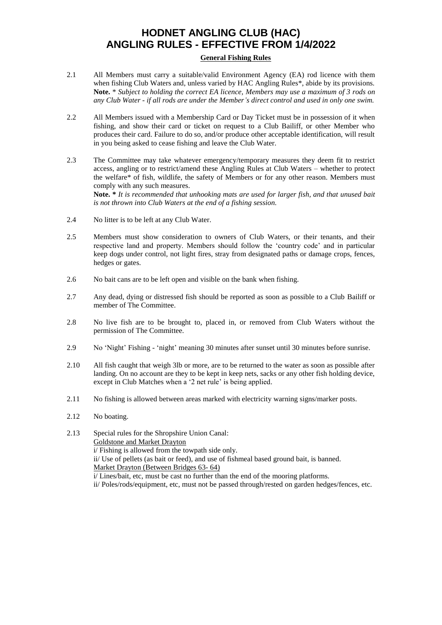#### **General Fishing Rules**

- 2.1 All Members must carry a suitable/valid Environment Agency (EA) rod licence with them when fishing Club Waters and, unless varied by HAC Angling Rules\*, abide by its provisions. **Note.** \* *Subject to holding the correct EA licence, Members may use a maximum of 3 rods on any Club Water - if all rods are under the Member's direct control and used in only one swim.*
- 2.2 All Members issued with a Membership Card or Day Ticket must be in possession of it when fishing, and show their card or ticket on request to a Club Bailiff, or other Member who produces their card. Failure to do so, and/or produce other acceptable identification, will result in you being asked to cease fishing and leave the Club Water.
- 2.3 The Committee may take whatever emergency/temporary measures they deem fit to restrict access, angling or to restrict/amend these Angling Rules at Club Waters – whether to protect the welfare\* of fish, wildlife, the safety of Members or for any other reason. Members must comply with any such measures. **Note. \*** *It is recommended that unhooking mats are used for larger fish, and that unused bait is not thrown into Club Waters at the end of a fishing session.*
- 2.4 No litter is to be left at any Club Water.
- 2.5 Members must show consideration to owners of Club Waters, or their tenants, and their respective land and property. Members should follow the 'country code' and in particular keep dogs under control, not light fires, stray from designated paths or damage crops, fences, hedges or gates.
- 2.6 No bait cans are to be left open and visible on the bank when fishing.
- 2.7 Any dead, dying or distressed fish should be reported as soon as possible to a Club Bailiff or member of The Committee.
- 2.8 No live fish are to be brought to, placed in, or removed from Club Waters without the permission of The Committee.
- 2.9 No 'Night' Fishing 'night' meaning 30 minutes after sunset until 30 minutes before sunrise.
- 2.10 All fish caught that weigh 3lb or more, are to be returned to the water as soon as possible after landing. On no account are they to be kept in keep nets, sacks or any other fish holding device, except in Club Matches when a '2 net rule' is being applied.
- 2.11 No fishing is allowed between areas marked with electricity warning signs/marker posts.
- 2.12 No boating.

2.13 Special rules for the Shropshire Union Canal: Goldstone and Market Drayton i/ Fishing is allowed from the towpath side only. ii/ Use of pellets (as bait or feed), and use of fishmeal based ground bait, is banned. Market Drayton (Between Bridges 63- 64) i/ Lines/bait, etc, must be cast no further than the end of the mooring platforms. ii/ Poles/rods/equipment, etc, must not be passed through/rested on garden hedges/fences, etc.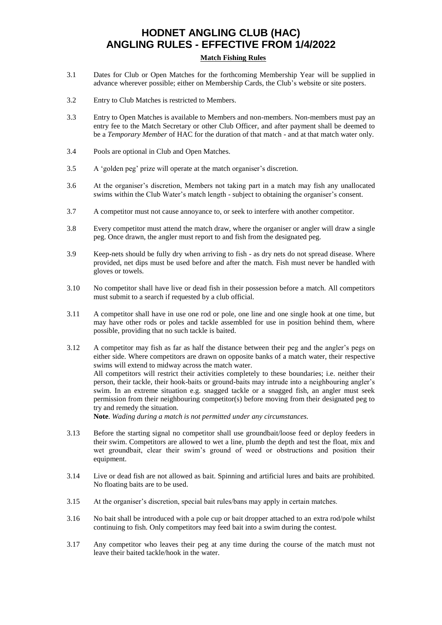### **Match Fishing Rules**

- 3.1 Dates for Club or Open Matches for the forthcoming Membership Year will be supplied in advance wherever possible; either on Membership Cards, the Club's website or site posters.
- 3.2 Entry to Club Matches is restricted to Members.
- 3.3 Entry to Open Matches is available to Members and non-members. Non-members must pay an entry fee to the Match Secretary or other Club Officer, and after payment shall be deemed to be a *Temporary Member* of HAC for the duration of that match - and at that match water only.
- 3.4 Pools are optional in Club and Open Matches.
- 3.5 A 'golden peg' prize will operate at the match organiser's discretion.
- 3.6 At the organiser's discretion, Members not taking part in a match may fish any unallocated swims within the Club Water's match length - subject to obtaining the organiser's consent.
- 3.7 A competitor must not cause annoyance to, or seek to interfere with another competitor.
- 3.8 Every competitor must attend the match draw, where the organiser or angler will draw a single peg. Once drawn, the angler must report to and fish from the designated peg.
- 3.9 Keep-nets should be fully dry when arriving to fish as dry nets do not spread disease. Where provided, net dips must be used before and after the match. Fish must never be handled with gloves or towels.
- 3.10 No competitor shall have live or dead fish in their possession before a match. All competitors must submit to a search if requested by a club official.
- 3.11 A competitor shall have in use one rod or pole, one line and one single hook at one time, but may have other rods or poles and tackle assembled for use in position behind them, where possible, providing that no such tackle is baited.
- 3.12 A competitor may fish as far as half the distance between their peg and the angler's pegs on either side. Where competitors are drawn on opposite banks of a match water, their respective swims will extend to midway across the match water. All competitors will restrict their activities completely to these boundaries; i.e. neither their person, their tackle, their hook-baits or ground-baits may intrude into a neighbouring angler's swim. In an extreme situation e.g. snagged tackle or a snagged fish, an angler must seek permission from their neighbouring competitor(s) before moving from their designated peg to try and remedy the situation.

**Note**. *Wading during a match is not permitted under any circumstances.*

- 3.13 Before the starting signal no competitor shall use groundbait/loose feed or deploy feeders in their swim. Competitors are allowed to wet a line, plumb the depth and test the float, mix and wet groundbait, clear their swim's ground of weed or obstructions and position their equipment.
- 3.14 Live or dead fish are not allowed as bait. Spinning and artificial lures and baits are prohibited. No floating baits are to be used.
- 3.15 At the organiser's discretion, special bait rules/bans may apply in certain matches.
- 3.16 No bait shall be introduced with a pole cup or bait dropper attached to an extra rod/pole whilst continuing to fish. Only competitors may feed bait into a swim during the contest.
- 3.17 Any competitor who leaves their peg at any time during the course of the match must not leave their baited tackle/hook in the water.